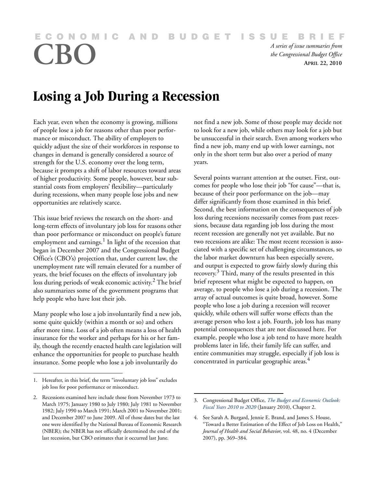*A series of issue summaries from*<br>the Congressional Budget Office<br>APRIL 22, 2010

*the Congressional Budget Office* **APRIL 22, 2010**

# **Losing a Job During a Recession**

Each year, even when the economy is growing, millions of people lose a job for reasons other than poor performance or misconduct. The ability of employers to quickly adjust the size of their workforces in response to changes in demand is generally considered a source of strength for the U.S. economy over the long term, because it prompts a shift of labor resources toward areas of higher productivity. Some people, however, bear substantial costs from employers' flexibility—particularly during recessions, when many people lose jobs and new opportunities are relatively scarce.

This issue brief reviews the research on the short- and long-term effects of involuntary job loss for reasons other than poor performance or misconduct on people's future employment and earnings.<sup>1</sup> In light of the recession that began in December 2007 and the Congressional Budget Office's (CBO's) projection that, under current law, the unemployment rate will remain elevated for a number of years, the brief focuses on the effects of involuntary job loss during periods of weak economic activity.<sup>2</sup> The brief also summarizes some of the government programs that help people who have lost their job.

Many people who lose a job involuntarily find a new job, some quite quickly (within a month or so) and others after more time. Loss of a job often means a loss of health insurance for the worker and perhaps for his or her family, though the recently enacted health care legislation will enhance the opportunities for people to purchase health insurance. Some people who lose a job involuntarily do

not find a new job. Some of those people may decide not to look for a new job, while others may look for a job but be unsuccessful in their search. Even among workers who find a new job, many end up with lower earnings, not only in the short term but also over a period of many years.

Several points warrant attention at the outset. First, outcomes for people who lose their job "for cause"—that is, because of their poor performance on the job—may differ significantly from those examined in this brief. Second, the best information on the consequences of job loss during recessions necessarily comes from past recessions, because data regarding job loss during the most recent recession are generally not yet available. But no two recessions are alike: The most recent recession is associated with a specific set of challenging circumstances, so the labor market downturn has been especially severe, and output is expected to grow fairly slowly during this recovery.<sup>3</sup> Third, many of the results presented in this brief represent what might be expected to happen, on average, to people who lose a job during a recession. The array of actual outcomes is quite broad, however. Some people who lose a job during a recession will recover quickly, while others will suffer worse effects than the average person who lost a job. Fourth, job loss has many potential consequences that are not discussed here. For example, people who lose a job tend to have more health problems later in life, their family life can suffer, and entire communities may struggle, especially if job loss is concentrated in particular geographic areas.<sup>4</sup>

<sup>1.</sup> Hereafter, in this brief, the term "involuntary job loss" excludes job loss for poor performance or misconduct.

<sup>2.</sup> Recessions examined here include those from November 1973 to March 1975; January 1980 to July 1980; July 1981 to November 1982; July 1990 to March 1991; March 2001 to November 2001; and December 2007 to June 2009. All of those dates but the last one were identified by the National Bureau of Economic Research (NBER); the NBER has not officially determined the end of the last recession, but CBO estimates that it occurred last June.

<sup>3.</sup> Congressional Budget Office, *[The Budget and Economic Outlook:](http://www.cbo.gov/ftpdocs/108xx/doc10871/01-26-Outlook.pdf)  Fiscal Years 2010 to 2020* (January 2010), Chapter 2.

<sup>4.</sup> See Sarah A. Burgard, Jennie E. Brand, and James S. House, "Toward a Better Estimation of the Effect of Job Loss on Health," *Journal of Health and Social Behavior*, vol. 48, no. 4 (December 2007), pp. 369–384.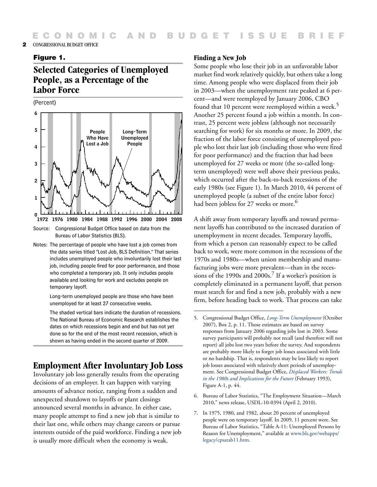### Figure 1.

# **Selected Categories of Unemployed People, as a Percentage of the Labor Force**

(Percent)



Source: Congressional Budget Office based on data from the Bureau of Labor Statistics (BLS).

Notes: The percentage of people who have lost a job comes from the data series titled "Lost Job, BLS Definition." That series includes unemployed people who involuntarily lost their last job, including people fired for poor performance, and those who completed a temporary job. It only includes people available and looking for work and excludes people on temporary layoff.

> Long-term unemployed people are those who have been unemployed for at least 27 consecutive weeks.

The shaded vertical bars indicate the duration of recessions. The National Bureau of Economic Research establishes the dates on which recessions begin and end but has not yet done so for the end of the most recent recession, which is shown as having ended in the second quarter of 2009.

# **Employment After Involuntary Job Loss**

Involuntary job loss generally results from the operating decisions of an employer. It can happen with varying amounts of advance notice, ranging from a sudden and unexpected shutdown to layoffs or plant closings announced several months in advance. In either case, many people attempt to find a new job that is similar to their last one, while others may change careers or pursue interests outside of the paid workforce. Finding a new job is usually more difficult when the economy is weak.

#### **Finding a New Job**

Some people who lose their job in an unfavorable labor market find work relatively quickly, but others take a long time. Among people who were displaced from their job in 2003—when the unemployment rate peaked at 6 percent—and were reemployed by January 2006, CBO found that 10 percent were reemployed within a week.<sup>5</sup> Another 25 percent found a job within a month. In contrast, 25 percent were jobless (although not necessarily searching for work) for six months or more. In 2009, the fraction of the labor force consisting of unemployed people who lost their last job (including those who were fired for poor performance) and the fraction that had been unemployed for 27 weeks or more (the so-called longterm unemployed) were well above their previous peaks, which occurred after the back-to-back recessions of the early 1980s (see Figure 1). In March 2010, 44 percent of unemployed people (a subset of the entire labor force) had been jobless for 27 weeks or more.<sup>6</sup>

A shift away from temporary layoffs and toward permanent layoffs has contributed to the increased duration of unemployment in recent decades. Temporary layoffs, from which a person can reasonably expect to be called back to work, were more common in the recessions of the 1970s and 1980s—when union membership and manufacturing jobs were more prevalent—than in the recessions of the 1990s and  $2000s$ .<sup>7</sup> If a worker's position is completely eliminated in a permanent layoff, that person must search for and find a new job, probably with a new firm, before heading back to work. That process can take

- 6. Bureau of Labor Statistics, "The Employment Situation—March 2010," news release, USDL-10-0394 (April 2, 2010).
- 7. In 1975, 1980, and 1982, about 20 percent of unemployed people were on temporary layoff. In 2009, 11 percent were. See Bureau of Labor Statistics, "Table A-11: Unemployed Persons by Reason for Unemployment," available at [www.bls.gov/webapps/](www.bls.gov/webapps/legacy/cpsatab11.htm) legacy/cpsatab11.htm.

<sup>5.</sup> Congressional Budget Office, *[Long-Term Unemployment](http://www.cbo.gov/ftpdocs/87xx/doc8770/10-31-LongtermUnemployment.pdf)* (October 2007), Box 2, p. 11. Those estimates are based on survey responses from January 2006 regarding jobs lost in 2003. Some survey participants will probably not recall (and therefore will not report) all jobs lost two years before the survey. And respondents are probably more likely to forget job losses associated with little or no hardship. That is, respondents may be less likely to report job losses associated with relatively short periods of unemployment. See Congressional Budget Office, *[Displaced Workers: Trends](http://www.cbo.gov/ftpdocs/75xx/doc7530/93doc09.pdf)  in the 1980s and Implications for the Future* (February 1993), Figure A-1, p. 44.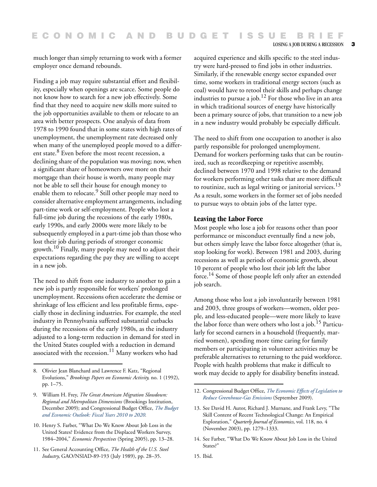LOSING A JOB DURING A RECESSION 3

much longer than simply returning to work with a former employer once demand rebounds.

Finding a job may require substantial effort and flexibility, especially when openings are scarce. Some people do not know how to search for a new job effectively. Some find that they need to acquire new skills more suited to the job opportunities available to them or relocate to an area with better prospects. One analysis of data from 1978 to 1990 found that in some states with high rates of unemployment, the unemployment rate decreased only when many of the unemployed people moved to a different state.<sup>8</sup> Even before the most recent recession, a declining share of the population was moving; now, when a significant share of homeowners owe more on their mortgage than their house is worth, many people may not be able to sell their house for enough money to enable them to relocate.<sup>9</sup> Still other people may need to consider alternative employment arrangements, including part-time work or self-employment. People who lost a full-time job during the recessions of the early 1980s, early 1990s, and early 2000s were more likely to be subsequently employed in a part-time job than those who lost their job during periods of stronger economic growth.<sup>10</sup> Finally, many people may need to adjust their expectations regarding the pay they are willing to accept in a new job.

The need to shift from one industry to another to gain a new job is partly responsible for workers' prolonged unemployment. Recessions often accelerate the demise or shrinkage of less efficient and less profitable firms, especially those in declining industries. For example, the steel industry in Pennsylvania suffered substantial cutbacks during the recessions of the early 1980s, as the industry adjusted to a long-term reduction in demand for steel in the United States coupled with a reduction in demand associated with the recession.<sup>11</sup> Many workers who had

11. See General Accounting Office, *The Health of the U.S. Steel Industry*, GAO/NSIAD-89-193 (July 1989), pp. 28–35.

acquired experience and skills specific to the steel industry were hard-pressed to find jobs in other industries. Similarly, if the renewable energy sector expanded over time, some workers in traditional energy sectors (such as coal) would have to retool their skills and perhaps change industries to pursue a job.12 For those who live in an area in which traditional sources of energy have historically been a primary source of jobs, that transition to a new job in a new industry would probably be especially difficult.

The need to shift from one occupation to another is also partly responsible for prolonged unemployment. Demand for workers performing tasks that can be routinized, such as recordkeeping or repetitive assembly, declined between 1970 and 1998 relative to the demand for workers performing other tasks that are more difficult to routinize, such as legal writing or janitorial services.<sup>13</sup> As a result, some workers in the former set of jobs needed to pursue ways to obtain jobs of the latter type.

#### **Leaving the Labor Force**

Most people who lose a job for reasons other than poor performance or misconduct eventually find a new job, but others simply leave the labor force altogether (that is, stop looking for work). Between 1981 and 2003, during recessions as well as periods of economic growth, about 10 percent of people who lost their job left the labor force.<sup>14</sup> Some of those people left only after an extended job search.

Among those who lost a job involuntarily between 1981 and 2003, three groups of workers—women, older people, and less-educated people—were more likely to leave the labor force than were others who lost a job.<sup>15</sup> Particularly for second earners in a household (frequently, married women), spending more time caring for family members or participating in volunteer activities may be preferable alternatives to returning to the paid workforce. People with health problems that make it difficult to 8. Olivier Jean Blanchard and Lawrence F. Katz, "Regional work may decide to apply for disability benefits instead.

15. Ibid.

Evolutions," *Brookings Papers on Economic Activity,* no. 1 (1992), pp. 1–75.

<sup>9.</sup> William H. Frey, *The Great American Migration Slowdown: Regional and Metropolitan Dimensions* (Brookings Institution, December 2009); and Congressional Budget Office, *[The Budget](http://www.cbo.gov/ftpdocs/108xx/doc10871/01-26-Outlook.pdf)  and Economic Outlook: Fiscal Years 2010 to 2020.* 

<sup>10.</sup> Henry S. Farber, "What Do We Know About Job Loss in the United States? Evidence from the Displaced Workers Survey, 1984–2004," *Economic Perspectives* (Spring 2005), pp. 13–28.

<sup>12.</sup> Congressional Budget Office, *[The Economic Effects of Legislation to](http://www.cbo.gov/ftpdocs/105xx/doc10573/09-17-Greenhouse-Gas.pdf)  Reduce Greenhouse-Gas Emissions* (September 2009).

<sup>13.</sup> See David H. Autor, Richard J. Murnane, and Frank Levy, "The Skill Content of Recent Technological Change: An Empirical Exploration," *Quarterly Journal of Economics*, vol. 118, no. 4 (November 2003), pp. 1279–1333.

<sup>14.</sup> See Farber, "What Do We Know About Job Loss in the United States?'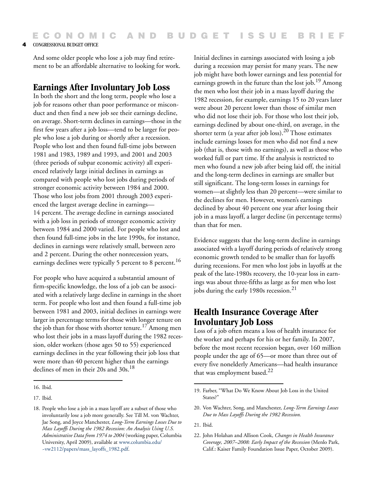And some older people who lose a job may find retirement to be an affordable alternative to looking for work.

### **Earnings After Involuntary Job Loss**

In both the short and the long term, people who lose a job for reasons other than poor performance or misconduct and then find a new job see their earnings decline, on average. Short-term declines in earnings—those in the first few years after a job loss—tend to be larger for people who lose a job during or shortly after a recession. People who lost and then found full-time jobs between 1981 and 1983, 1989 and 1993, and 2001 and 2003 (three periods of subpar economic activity) all experienced relatively large initial declines in earnings as compared with people who lost jobs during periods of stronger economic activity between 1984 and 2000. Those who lost jobs from 2001 through 2003 experienced the largest average decline in earnings— 14 percent. The average decline in earnings associated with a job loss in periods of stronger economic activity between 1984 and 2000 varied. For people who lost and then found full-time jobs in the late 1990s, for instance, declines in earnings were relatively small, between zero and 2 percent. During the other nonrecession years, earnings declines were typically 5 percent to 8 percent.<sup>16</sup>

For people who have acquired a substantial amount of firm-specific knowledge, the loss of a job can be associated with a relatively large decline in earnings in the short term. For people who lost and then found a full-time job between 1981 and 2003, initial declines in earnings were larger in percentage terms for those with longer tenure on the job than for those with shorter tenure.<sup>17</sup> Among men who lost their jobs in a mass layoff during the 1982 recession, older workers (those ages 50 to 55) experienced earnings declines in the year following their job loss that were more than 40 percent higher than the earnings declines of men in their 20s and 30s.<sup>18</sup>

Initial declines in earnings associated with losing a job during a recession may persist for many years. The new job might have both lower earnings and less potential for earnings growth in the future than the lost job.<sup>19</sup> Among the men who lost their job in a mass layoff during the 1982 recession, for example, earnings 15 to 20 years later were about 20 percent lower than those of similar men who did not lose their job. For those who lost their job, earnings declined by about one-third, on average, in the shorter term (a year after job loss).<sup>20</sup> Those estimates include earnings losses for men who did not find a new job (that is, those with no earnings), as well as those who worked full or part time. If the analysis is restricted to men who found a new job after being laid off, the initial and the long-term declines in earnings are smaller but still significant. The long-term losses in earnings for women—at slightly less than 20 percent—were similar to the declines for men. However, women's earnings declined by about 40 percent one year after losing their job in a mass layoff, a larger decline (in percentage terms) than that for men.

Evidence suggests that the long-term decline in earnings associated with a layoff during periods of relatively strong economic growth tended to be smaller than for layoffs during recessions. For men who lost jobs in layoffs at the peak of the late-1980s recovery, the 10-year loss in earnings was about three-fifths as large as for men who lost jobs during the early 1980s recession.<sup>21</sup>

# **Health Insurance Coverage After Involuntary Job Loss**

Loss of a job often means a loss of health insurance for the worker and perhaps for his or her family. In 2007, before the most recent recession began, over 160 million people under the age of 65—or more than three out of every five nonelderly Americans—had health insurance that was employment based.<sup>22</sup>

<sup>16.</sup> Ibid.

<sup>17.</sup> Ibid.

<sup>18.</sup> People who lose a job in a mass layoff are a subset of those who involuntarily lose a job more generally. See Till M. von Wachter, Jae Song, and Joyce Manchester, *Long-Term Earnings Losses Due to Mass Layoffs During the 1982 Recession: An Analysis Using U.S. Administrative Data from 1974 to 2004* (working paper, Columbia University, April 2009), available at [www.columbia.edu/](http://www.columbia.edu/~vw2112/papers/mass_layoffs_1982.pdf) ~vw2112/papers/mass\_layoffs\_1982.pdf.

<sup>19.</sup> Farber, "What Do We Know About Job Loss in the United States?"

<sup>20.</sup> Von Wachter, Song, and Manchester, *Long-Term Earnings Losses Due to Mass Layoffs During the 1982 Recession.*

<sup>21.</sup> Ibid.

<sup>22.</sup> John Holahan and Allison Cook, *Changes in Health Insurance Coverage, 2007–2008: Early Impact of the Recession* (Menlo Park, Calif.: Kaiser Family Foundation Issue Paper, October 2009).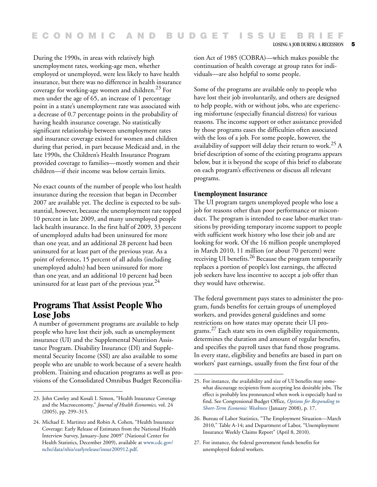During the 1990s, in areas with relatively high unemployment rates, working-age men, whether employed or unemployed, were less likely to have health insurance, but there was no difference in health insurance coverage for working-age women and children.<sup>23</sup> For men under the age of 65, an increase of 1 percentage point in a state's unemployment rate was associated with a decrease of 0.7 percentage points in the probability of having health insurance coverage. No statistically significant relationship between unemployment rates and insurance coverage existed for women and children during that period, in part because Medicaid and, in the late 1990s, the Children's Health Insurance Program provided coverage to families—mostly women and their children—if their income was below certain limits.

No exact counts of the number of people who lost health insurance during the recession that began in December 2007 are available yet. The decline is expected to be substantial, however, because the unemployment rate topped 10 percent in late 2009, and many unemployed people lack health insurance. In the first half of 2009, 33 percent of unemployed adults had been uninsured for more than one year, and an additional 28 percent had been uninsured for at least part of the previous year. As a point of reference, 15 percent of all adults (including unemployed adults) had been uninsured for more than one year, and an additional 10 percent had been uninsured for at least part of the previous year. $^{24}$ 

# **Programs That Assist People Who Lose Jobs**

A number of government programs are available to help people who have lost their job, such as unemployment insurance (UI) and the Supplemental Nutrition Assistance Program. Disability Insurance (DI) and Supplemental Security Income (SSI) are also available to some people who are unable to work because of a severe health problem. Training and education programs as well as provisions of the Consolidated Omnibus Budget Reconciliation Act of 1985 (COBRA)—which makes possible the continuation of health coverage at group rates for individuals—are also helpful to some people.

Some of the programs are available only to people who have lost their job involuntarily, and others are designed to help people, with or without jobs, who are experiencing misfortune (especially financial distress) for various reasons. The income support or other assistance provided by those programs eases the difficulties often associated with the loss of a job. For some people, however, the availability of support will delay their return to work.<sup>25</sup> A brief description of some of the existing programs appears below, but it is beyond the scope of this brief to elaborate on each program's effectiveness or discuss all relevant programs.

### **Unemployment Insurance**

The UI program targets unemployed people who lose a job for reasons other than poor performance or misconduct. The program is intended to ease labor-market transitions by providing temporary income support to people with sufficient work history who lose their job and are looking for work. Of the 16 million people unemployed in March 2010, 11 million (or about 70 percent) were receiving UI benefits.<sup>26</sup> Because the program temporarily replaces a portion of people's lost earnings, the affected job seekers have less incentive to accept a job offer than they would have otherwise.

The federal government pays states to administer the program, funds benefits for certain groups of unemployed workers, and provides general guidelines and some restrictions on how states may operate their UI programs.27 Each state sets its own eligibility requirements, determines the duration and amount of regular benefits, and specifies the payroll taxes that fund those programs. In every state, eligibility and benefits are based in part on workers' past earnings, usually from the first four of the

27. For instance, the federal government funds benefits for unemployed federal workers.

<sup>23.</sup> John Cawley and Kosali I. Simon, "Health Insurance Coverage and the Macroeconomy," *Journal of Health Economics,* vol. 24 (2005), pp. 299–315.

<sup>24.</sup> Michael E. Martinez and Robin A. Cohen, "Health Insurance Coverage: Early Release of Estimates from the National Health Interview Survey, January–June 2009" (National Center for Health Statistics, December 2009), available at [www.cdc.gov/](http://www.cdc.gov/nchs/data/nhis/earlyrelease/insur200912.pdf) nchs/data/nhis/earlyrelease/insur200912.pdf.

<sup>25.</sup> For instance, the availability and size of UI benefits may somewhat discourage recipients from accepting less desirable jobs. The effect is probably less pronounced when work is especially hard to find. See Congressional Budget Office, *[Options for Responding to](http://www.cbo.gov/doc.cfm?index=8916&zzz=36423)  Short-Term Economic Weakness* (January 2008), p. 17.

<sup>26.</sup> Bureau of Labor Statistics, "The Employment Situation—March 2010," Table A-14; and Department of Labor, "Unemployment Insurance Weekly Claims Report" (April 8, 2010).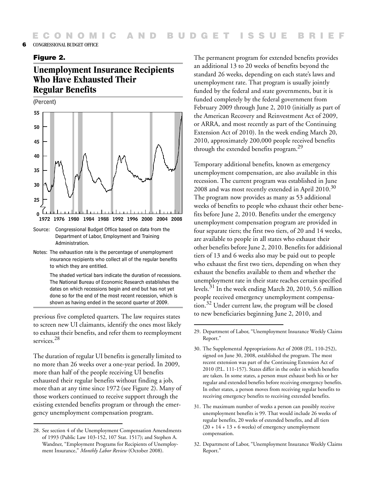### Figure 2.

# **Unemployment Insurance Recipients Who Have Exhausted Their Regular Benefits**

(Percent)



Source: Congressional Budget Office based on data from the Department of Labor, Employment and Training Administration.

Notes: The exhaustion rate is the percentage of unemployment insurance recipients who collect all of the regular benefits to which they are entitled.

> The shaded vertical bars indicate the duration of recessions. The National Bureau of Economic Research establishes the dates on which recessions begin and end but has not yet done so for the end of the most recent recession, which is shown as having ended in the second quarter of 2009.

previous five completed quarters. The law requires states to screen new UI claimants, identify the ones most likely to exhaust their benefits, and refer them to reemployment services.<sup>28</sup>

The duration of regular UI benefits is generally limited to no more than 26 weeks over a one-year period. In 2009, more than half of the people receiving UI benefits exhausted their regular benefits without finding a job, more than at any time since 1972 (see Figure 2). Many of those workers continued to receive support through the existing extended benefits program or through the emergency unemployment compensation program.

The permanent program for extended benefits provides an additional 13 to 20 weeks of benefits beyond the standard 26 weeks, depending on each state's laws and unemployment rate. That program is usually jointly funded by the federal and state governments, but it is funded completely by the federal government from February 2009 through June 2, 2010 (initially as part of the American Recovery and Reinvestment Act of 2009, or ARRA, and most recently as part of the Continuing Extension Act of 2010). In the week ending March 20, 2010, approximately 200,000 people received benefits through the extended benefits program.29

Temporary additional benefits, known as emergency unemployment compensation, are also available in this recession. The current program was established in June 2008 and was most recently extended in April 2010.<sup>30</sup> The program now provides as many as 53 additional weeks of benefits to people who exhaust their other benefits before June 2, 2010. Benefits under the emergency unemployment compensation program are provided in four separate tiers; the first two tiers, of 20 and 14 weeks, are available to people in all states who exhaust their other benefits before June 2, 2010. Benefits for additional tiers of 13 and 6 weeks also may be paid out to people who exhaust the first two tiers, depending on when they exhaust the benefits available to them and whether the unemployment rate in their state reaches certain specified levels.31 In the week ending March 20, 2010, 5.6 million people received emergency unemployment compensation.32 Under current law, the program will be closed to new beneficiaries beginning June 2, 2010, and

- 31. The maximum number of weeks a person can possibly receive unemployment benefits is 99. That would include 26 weeks of regular benefits, 20 weeks of extended benefits, and all tiers  $(20 + 14 + 13 + 6$  weeks) of emergency unemployment compensation.
- 32. Department of Labor, "Unemployment Insurance Weekly Claims Report."

<sup>28.</sup> See section 4 of the Unemployment Compensation Amendments of 1993 (Public Law 103-152, 107 Stat. 1517); and Stephen A. Wandner, "Employment Programs for Recipients of Unemployment Insurance," *Monthly Labor Review* (October 2008).

<sup>29.</sup> Department of Labor, "Unemployment Insurance Weekly Claims Report."

<sup>30.</sup> The Supplemental Appropriations Act of 2008 (P.L. 110-252), signed on June 30, 2008, established the program. The most recent extension was part of the Continuing Extension Act of 2010 (P.L. 111-157). States differ in the order in which benefits are taken. In some states, a person must exhaust both his or her regular and extended benefits before receiving emergency benefits. In other states, a person moves from receiving regular benefits to receiving emergency benefits to receiving extended benefits.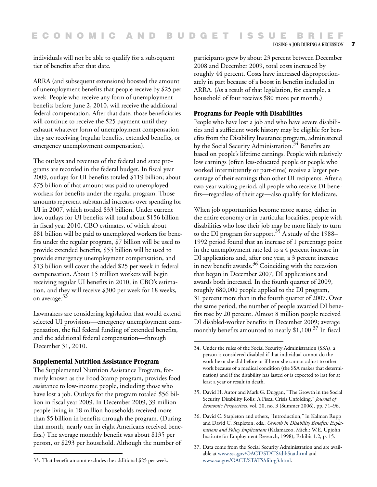LOSING A JOB DURING A RECESSION 7

individuals will not be able to qualify for a subsequent tier of benefits after that date.

ARRA (and subsequent extensions) boosted the amount of unemployment benefits that people receive by \$25 per week. People who receive any form of unemployment benefits before June 2, 2010, will receive the additional federal compensation. After that date, those beneficiaries will continue to receive the \$25 payment until they exhaust whatever form of unemployment compensation they are receiving (regular benefits, extended benefits, or emergency unemployment compensation).

The outlays and revenues of the federal and state programs are recorded in the federal budget. In fiscal year 2009, outlays for UI benefits totaled \$119 billion; about \$75 billion of that amount was paid to unemployed workers for benefits under the regular program. Those amounts represent substantial increases over spending for UI in 2007, which totaled \$33 billion. Under current law, outlays for UI benefits will total about \$156 billion in fiscal year 2010, CBO estimates, of which about \$81 billion will be paid to unemployed workers for benefits under the regular program, \$7 billion will be used to provide extended benefits, \$55 billion will be used to provide emergency unemployment compensation, and \$13 billion will cover the added \$25 per week in federal compensation. About 15 million workers will begin receiving regular UI benefits in 2010, in CBO's estimation, and they will receive \$300 per week for 18 weeks, on average.<sup>33</sup>

Lawmakers are considering legislation that would extend selected UI provisions—emergency unemployment compensation, the full federal funding of extended benefits, and the additional federal compensation—through December 31, 2010.

### **Supplemental Nutrition Assistance Program**

The Supplemental Nutrition Assistance Program, formerly known as the Food Stamp program, provides food assistance to low-income people, including those who have lost a job. Outlays for the program totaled \$56 billion in fiscal year 2009. In December 2009, 39 million people living in 18 million households received more than \$5 billion in benefits through the program. (During that month, nearly one in eight Americans received benefits.) The average monthly benefit was about \$135 per person, or \$293 per household. Although the number of

participants grew by about 23 percent between December 2008 and December 2009, total costs increased by roughly 44 percent. Costs have increased disproportionately in part because of a boost in benefits included in ARRA. (As a result of that legislation, for example, a household of four receives \$80 more per month.)

### **Programs for People with Disabilities**

People who have lost a job and who have severe disabilities and a sufficient work history may be eligible for benefits from the Disability Insurance program, administered by the Social Security Administration.<sup>34</sup> Benefits are based on people's lifetime earnings. People with relatively low earnings (often less-educated people or people who worked intermittently or part-time) receive a larger percentage of their earnings than other DI recipients. After a two-year waiting period, all people who receive DI benefits—regardless of their age—also qualify for Medicare.

When job opportunities become more scarce, either in the entire economy or in particular localities, people with disabilities who lose their job may be more likely to turn to the DI program for support.<sup>35</sup> A study of the 1988– 1992 period found that an increase of 1 percentage point in the unemployment rate led to a 4 percent increase in DI applications and, after one year, a 3 percent increase in new benefit awards. $36$  Coinciding with the recession that began in December 2007, DI applications and awards both increased. In the fourth quarter of 2009, roughly 680,000 people applied to the DI program, 31 percent more than in the fourth quarter of 2007. Over the same period, the number of people awarded DI benefits rose by 20 percent. Almost 8 million people received DI disabled-worker benefits in December 2009; average monthly benefits amounted to nearly \$1,100.<sup>37</sup> In fiscal

- 36. David C. Stapleton and others, "Introduction," in Kalman Rupp and David C. Stapleton, eds., *Growth in Disability Benefits: Explanations and Policy Implications* (Kalamazoo, Mich.: W.E. Upjohn Institute for Employment Research, 1998), Exhibit 1.2, p. 15.
- 37. Data come from the Social Security Administration and are available at [www.ssa.gov/OACT/STATS/dibStat.html](http://www.ssa.gov/OACT/STATS/dibStat.html) and [www.ssa.gov/OACT/STATS/dib-g3.html.](http://www.ssa.gov/OACT/STATS/dib-g3.html)

<sup>33.</sup> That benefit amount excludes the additional \$25 per week.

<sup>34.</sup> Under the rules of the Social Security Administration (SSA), a person is considered disabled if that individual cannot do the work he or she did before or if he or she cannot adjust to other work because of a medical condition (the SSA makes that determination) and if the disability has lasted or is expected to last for at least a year or result in death.

<sup>35.</sup> David H. Autor and Mark G. Duggan, "The Growth in the Social Security Disability Rolls: A Fiscal Crisis Unfolding," *Journal of Economic Perspectives*, vol. 20, no. 3 (Summer 2006), pp. 71–96.